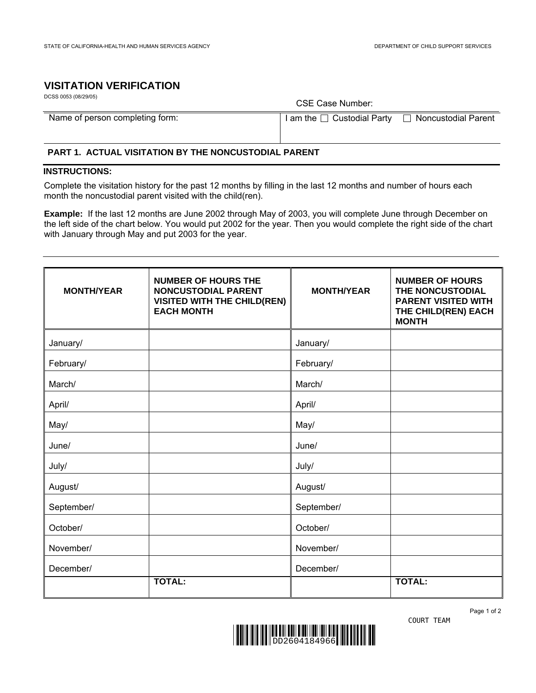## **VISITATION VERIFICATION**

| DCSS 0053 (08/29/05)            | CSE Case Number:                           |                     |  |
|---------------------------------|--------------------------------------------|---------------------|--|
| Name of person completing form: | $\mathsf{I}$ am the $\Box$ Custodial Party | Noncustodial Parent |  |

**PART 1. ACTUAL VISITATION BY THE NONCUSTODIAL PARENT**

## **INSTRUCTIONS:**

Complete the visitation history for the past 12 months by filling in the last 12 months and number of hours each month the noncustodial parent visited with the child(ren).

**Example:** If the last 12 months are June 2002 through May of 2003, you will complete June through December on the left side of the chart below. You would put 2002 for the year. Then you would complete the right side of the chart with January through May and put 2003 for the year.

| <b>MONTH/YEAR</b> | <b>NUMBER OF HOURS THE</b><br><b>NONCUSTODIAL PARENT</b><br><b>VISITED WITH THE CHILD(REN)</b><br><b>EACH MONTH</b> | <b>MONTH/YEAR</b> | <b>NUMBER OF HOURS</b><br>THE NONCUSTODIAL<br><b>PARENT VISITED WITH</b><br>THE CHILD(REN) EACH<br><b>MONTH</b> |
|-------------------|---------------------------------------------------------------------------------------------------------------------|-------------------|-----------------------------------------------------------------------------------------------------------------|
| January/          |                                                                                                                     | January/          |                                                                                                                 |
| February/         |                                                                                                                     | February/         |                                                                                                                 |
| March/            |                                                                                                                     | March/            |                                                                                                                 |
| April/            |                                                                                                                     | April/            |                                                                                                                 |
| May/              |                                                                                                                     | May/              |                                                                                                                 |
| June/             |                                                                                                                     | June/             |                                                                                                                 |
| July/             |                                                                                                                     | July/             |                                                                                                                 |
| August/           |                                                                                                                     | August/           |                                                                                                                 |
| September/        |                                                                                                                     | September/        |                                                                                                                 |
| October/          |                                                                                                                     | October/          |                                                                                                                 |
| November/         |                                                                                                                     | November/         |                                                                                                                 |
| December/         |                                                                                                                     | December/         |                                                                                                                 |
|                   | <b>TOTAL:</b>                                                                                                       |                   | <b>TOTAL:</b>                                                                                                   |



Page 1 of 2 COURT TEAM